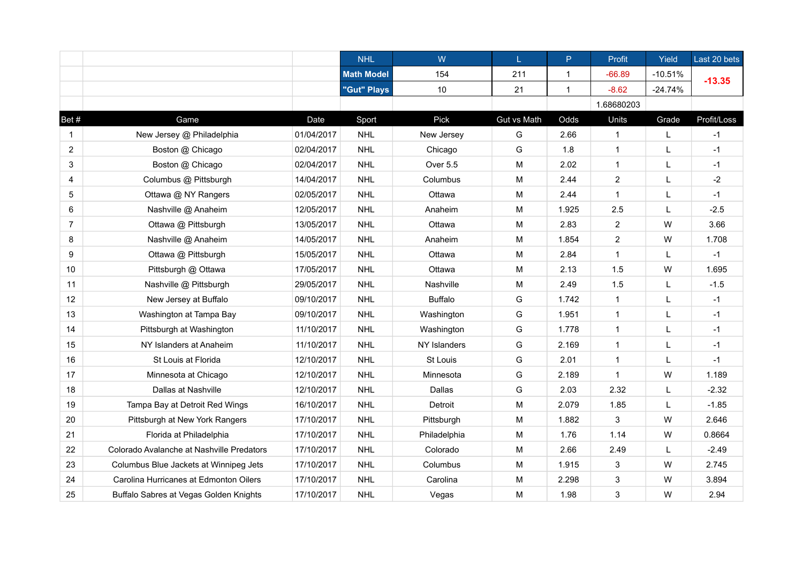|                |                                           |            | <b>NHL</b>        | W              |             | P     | Profit         | Yield     | Last 20 bets |
|----------------|-------------------------------------------|------------|-------------------|----------------|-------------|-------|----------------|-----------|--------------|
|                |                                           |            | <b>Math Model</b> | 154            | 211         | 1     | $-66.89$       | $-10.51%$ |              |
|                |                                           |            | "Gut" Plays       | 10             | 21          | 1     | $-8.62$        | $-24.74%$ | $-13.35$     |
|                |                                           |            |                   |                |             |       | 1.68680203     |           |              |
| Bet #          | Game                                      | Date       | Sport             | Pick           | Gut vs Math | Odds  | Units          | Grade     | Profit/Loss  |
| $\mathbf{1}$   | New Jersey @ Philadelphia                 | 01/04/2017 | <b>NHL</b>        | New Jersey     | G           | 2.66  | $\mathbf{1}$   | L         | $-1$         |
| 2              | Boston @ Chicago                          | 02/04/2017 | <b>NHL</b>        | Chicago        | G           | 1.8   | $\mathbf{1}$   | L         | $-1$         |
| 3              | Boston @ Chicago                          | 02/04/2017 | <b>NHL</b>        | Over 5.5       | М           | 2.02  | $\mathbf{1}$   | L         | $-1$         |
| 4              | Columbus @ Pittsburgh                     | 14/04/2017 | <b>NHL</b>        | Columbus       | М           | 2.44  | $\overline{2}$ | L         | $-2$         |
| 5              | Ottawa @ NY Rangers                       | 02/05/2017 | <b>NHL</b>        | Ottawa         | М           | 2.44  | $\mathbf{1}$   | L         | $-1$         |
| 6              | Nashville @ Anaheim                       | 12/05/2017 | <b>NHL</b>        | Anaheim        | М           | 1.925 | 2.5            | L         | $-2.5$       |
| $\overline{7}$ | Ottawa @ Pittsburgh                       | 13/05/2017 | <b>NHL</b>        | Ottawa         | М           | 2.83  | $\overline{2}$ | W         | 3.66         |
| 8              | Nashville @ Anaheim                       | 14/05/2017 | <b>NHL</b>        | Anaheim        | М           | 1.854 | $\overline{2}$ | W         | 1.708        |
| 9              | Ottawa @ Pittsburgh                       | 15/05/2017 | <b>NHL</b>        | Ottawa         | М           | 2.84  | $\mathbf{1}$   | L         | $-1$         |
| 10             | Pittsburgh @ Ottawa                       | 17/05/2017 | <b>NHL</b>        | Ottawa         | М           | 2.13  | 1.5            | W         | 1.695        |
| 11             | Nashville @ Pittsburgh                    | 29/05/2017 | <b>NHL</b>        | Nashville      | М           | 2.49  | 1.5            | L         | $-1.5$       |
| 12             | New Jersey at Buffalo                     | 09/10/2017 | <b>NHL</b>        | <b>Buffalo</b> | G           | 1.742 | 1              | L         | $-1$         |
| 13             | Washington at Tampa Bay                   | 09/10/2017 | <b>NHL</b>        | Washington     | G           | 1.951 | $\mathbf{1}$   | L         | $-1$         |
| 14             | Pittsburgh at Washington                  | 11/10/2017 | <b>NHL</b>        | Washington     | G           | 1.778 | 1              | L         | $-1$         |
| 15             | NY Islanders at Anaheim                   | 11/10/2017 | <b>NHL</b>        | NY Islanders   | G           | 2.169 | $\mathbf{1}$   | L         | $-1$         |
| 16             | St Louis at Florida                       | 12/10/2017 | <b>NHL</b>        | St Louis       | G           | 2.01  | $\mathbf{1}$   | L         | $-1$         |
| 17             | Minnesota at Chicago                      | 12/10/2017 | <b>NHL</b>        | Minnesota      | G           | 2.189 | $\mathbf{1}$   | W         | 1.189        |
| 18             | Dallas at Nashville                       | 12/10/2017 | <b>NHL</b>        | Dallas         | G           | 2.03  | 2.32           | L         | $-2.32$      |
| 19             | Tampa Bay at Detroit Red Wings            | 16/10/2017 | <b>NHL</b>        | Detroit        | М           | 2.079 | 1.85           | L         | $-1.85$      |
| 20             | Pittsburgh at New York Rangers            | 17/10/2017 | <b>NHL</b>        | Pittsburgh     | М           | 1.882 | 3              | W         | 2.646        |
| 21             | Florida at Philadelphia                   | 17/10/2017 | <b>NHL</b>        | Philadelphia   | М           | 1.76  | 1.14           | W         | 0.8664       |
| 22             | Colorado Avalanche at Nashville Predators | 17/10/2017 | <b>NHL</b>        | Colorado       | М           | 2.66  | 2.49           | L         | $-2.49$      |
| 23             | Columbus Blue Jackets at Winnipeg Jets    | 17/10/2017 | <b>NHL</b>        | Columbus       | М           | 1.915 | 3              | W         | 2.745        |
| 24             | Carolina Hurricanes at Edmonton Oilers    | 17/10/2017 | <b>NHL</b>        | Carolina       | М           | 2.298 | 3              | W         | 3.894        |
| 25             | Buffalo Sabres at Vegas Golden Knights    | 17/10/2017 | <b>NHL</b>        | Vegas          | М           | 1.98  | 3              | W         | 2.94         |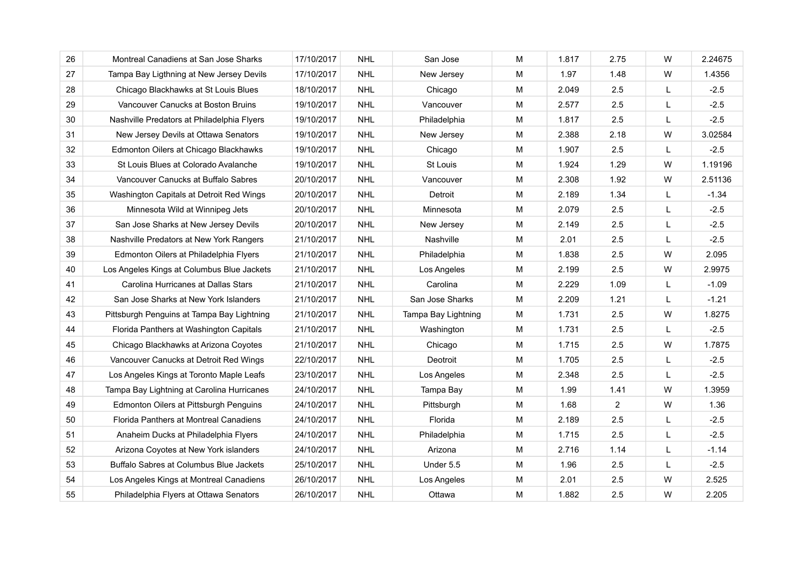| 26 | Montreal Canadiens at San Jose Sharks      | 17/10/2017 | <b>NHL</b> | San Jose            | M | 1.817 | 2.75           | W | 2.24675 |
|----|--------------------------------------------|------------|------------|---------------------|---|-------|----------------|---|---------|
| 27 | Tampa Bay Ligthning at New Jersey Devils   | 17/10/2017 | <b>NHL</b> | New Jersey          | М | 1.97  | 1.48           | W | 1.4356  |
| 28 | Chicago Blackhawks at St Louis Blues       | 18/10/2017 | <b>NHL</b> | Chicago             | Μ | 2.049 | 2.5            | L | $-2.5$  |
| 29 | Vancouver Canucks at Boston Bruins         | 19/10/2017 | <b>NHL</b> | Vancouver           | М | 2.577 | 2.5            | L | $-2.5$  |
| 30 | Nashville Predators at Philadelphia Flyers | 19/10/2017 | <b>NHL</b> | Philadelphia        | M | 1.817 | 2.5            | L | $-2.5$  |
| 31 | New Jersey Devils at Ottawa Senators       | 19/10/2017 | <b>NHL</b> | New Jersey          | М | 2.388 | 2.18           | W | 3.02584 |
| 32 | Edmonton Oilers at Chicago Blackhawks      | 19/10/2017 | <b>NHL</b> | Chicago             | M | 1.907 | 2.5            | L | $-2.5$  |
| 33 | St Louis Blues at Colorado Avalanche       | 19/10/2017 | <b>NHL</b> | St Louis            | М | 1.924 | 1.29           | W | 1.19196 |
| 34 | Vancouver Canucks at Buffalo Sabres        | 20/10/2017 | <b>NHL</b> | Vancouver           | M | 2.308 | 1.92           | W | 2.51136 |
| 35 | Washington Capitals at Detroit Red Wings   | 20/10/2017 | <b>NHL</b> | Detroit             | М | 2.189 | 1.34           | L | $-1.34$ |
| 36 | Minnesota Wild at Winnipeg Jets            | 20/10/2017 | <b>NHL</b> | Minnesota           | М | 2.079 | 2.5            | L | $-2.5$  |
| 37 | San Jose Sharks at New Jersey Devils       | 20/10/2017 | <b>NHL</b> | New Jersey          | М | 2.149 | 2.5            | L | $-2.5$  |
| 38 | Nashville Predators at New York Rangers    | 21/10/2017 | <b>NHL</b> | Nashville           | М | 2.01  | 2.5            | L | $-2.5$  |
| 39 | Edmonton Oilers at Philadelphia Flyers     | 21/10/2017 | <b>NHL</b> | Philadelphia        | М | 1.838 | 2.5            | W | 2.095   |
| 40 | Los Angeles Kings at Columbus Blue Jackets | 21/10/2017 | <b>NHL</b> | Los Angeles         | М | 2.199 | 2.5            | W | 2.9975  |
| 41 | Carolina Hurricanes at Dallas Stars        | 21/10/2017 | <b>NHL</b> | Carolina            | М | 2.229 | 1.09           | L | $-1.09$ |
| 42 | San Jose Sharks at New York Islanders      | 21/10/2017 | <b>NHL</b> | San Jose Sharks     | м | 2.209 | 1.21           | L | $-1.21$ |
| 43 | Pittsburgh Penguins at Tampa Bay Lightning | 21/10/2017 | <b>NHL</b> | Tampa Bay Lightning | М | 1.731 | 2.5            | W | 1.8275  |
| 44 | Florida Panthers at Washington Capitals    | 21/10/2017 | <b>NHL</b> | Washington          | м | 1.731 | 2.5            | L | $-2.5$  |
| 45 | Chicago Blackhawks at Arizona Coyotes      | 21/10/2017 | <b>NHL</b> | Chicago             | М | 1.715 | 2.5            | W | 1.7875  |
| 46 | Vancouver Canucks at Detroit Red Wings     | 22/10/2017 | <b>NHL</b> | Deotroit            | M | 1.705 | 2.5            | L | $-2.5$  |
| 47 | Los Angeles Kings at Toronto Maple Leafs   | 23/10/2017 | <b>NHL</b> | Los Angeles         | М | 2.348 | 2.5            | L | $-2.5$  |
| 48 | Tampa Bay Lightning at Carolina Hurricanes | 24/10/2017 | <b>NHL</b> | Tampa Bay           | М | 1.99  | 1.41           | W | 1.3959  |
| 49 | Edmonton Oilers at Pittsburgh Penguins     | 24/10/2017 | <b>NHL</b> | Pittsburgh          | М | 1.68  | $\overline{2}$ | W | 1.36    |
| 50 | Florida Panthers at Montreal Canadiens     | 24/10/2017 | <b>NHL</b> | Florida             | M | 2.189 | 2.5            | L | $-2.5$  |
| 51 | Anaheim Ducks at Philadelphia Flyers       | 24/10/2017 | <b>NHL</b> | Philadelphia        | М | 1.715 | 2.5            | L | $-2.5$  |
| 52 | Arizona Coyotes at New York islanders      | 24/10/2017 | <b>NHL</b> | Arizona             | M | 2.716 | 1.14           | L | $-1.14$ |
| 53 | Buffalo Sabres at Columbus Blue Jackets    | 25/10/2017 | <b>NHL</b> | Under 5.5           | M | 1.96  | 2.5            | L | $-2.5$  |
| 54 | Los Angeles Kings at Montreal Canadiens    | 26/10/2017 | <b>NHL</b> | Los Angeles         | M | 2.01  | 2.5            | W | 2.525   |
| 55 | Philadelphia Flyers at Ottawa Senators     | 26/10/2017 | <b>NHL</b> | Ottawa              | М | 1.882 | 2.5            | W | 2.205   |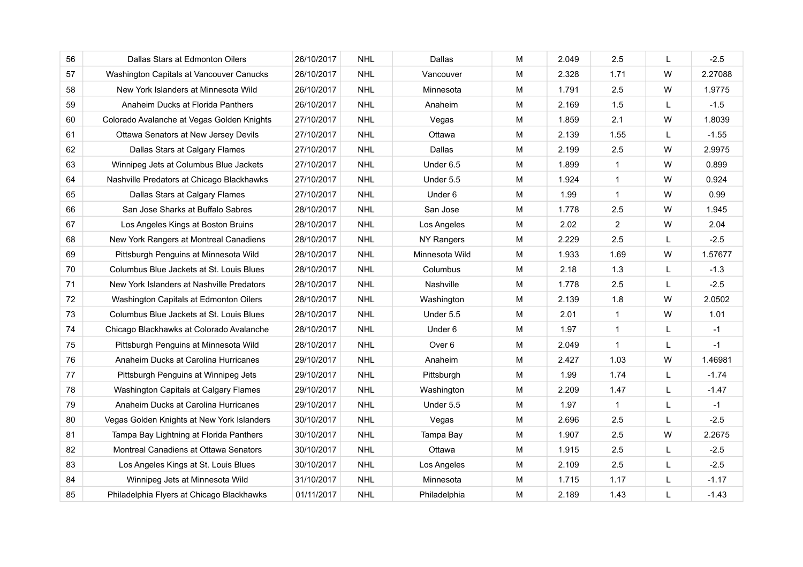| 56 | Dallas Stars at Edmonton Oilers            | 26/10/2017 | <b>NHL</b> | Dallas            | М | 2.049 | 2.5            | L | $-2.5$  |
|----|--------------------------------------------|------------|------------|-------------------|---|-------|----------------|---|---------|
| 57 | Washington Capitals at Vancouver Canucks   | 26/10/2017 | <b>NHL</b> | Vancouver         | М | 2.328 | 1.71           | W | 2.27088 |
| 58 | New York Islanders at Minnesota Wild       | 26/10/2017 | <b>NHL</b> | Minnesota         | М | 1.791 | 2.5            | W | 1.9775  |
| 59 | Anaheim Ducks at Florida Panthers          | 26/10/2017 | <b>NHL</b> | Anaheim           | М | 2.169 | 1.5            | L | $-1.5$  |
| 60 | Colorado Avalanche at Vegas Golden Knights | 27/10/2017 | <b>NHL</b> | Vegas             | М | 1.859 | 2.1            | W | 1.8039  |
| 61 | Ottawa Senators at New Jersey Devils       | 27/10/2017 | <b>NHL</b> | Ottawa            | М | 2.139 | 1.55           | L | $-1.55$ |
| 62 | Dallas Stars at Calgary Flames             | 27/10/2017 | <b>NHL</b> | Dallas            | М | 2.199 | 2.5            | W | 2.9975  |
| 63 | Winnipeg Jets at Columbus Blue Jackets     | 27/10/2017 | <b>NHL</b> | Under 6.5         | М | 1.899 | $\mathbf{1}$   | W | 0.899   |
| 64 | Nashville Predators at Chicago Blackhawks  | 27/10/2017 | <b>NHL</b> | Under 5.5         | М | 1.924 | $\mathbf{1}$   | W | 0.924   |
| 65 | Dallas Stars at Calgary Flames             | 27/10/2017 | <b>NHL</b> | Under 6           | М | 1.99  | $\mathbf{1}$   | W | 0.99    |
| 66 | San Jose Sharks at Buffalo Sabres          | 28/10/2017 | <b>NHL</b> | San Jose          | М | 1.778 | 2.5            | W | 1.945   |
| 67 | Los Angeles Kings at Boston Bruins         | 28/10/2017 | <b>NHL</b> | Los Angeles       | М | 2.02  | $\overline{2}$ | W | 2.04    |
| 68 | New York Rangers at Montreal Canadiens     | 28/10/2017 | <b>NHL</b> | <b>NY Rangers</b> | М | 2.229 | 2.5            | L | $-2.5$  |
| 69 | Pittsburgh Penguins at Minnesota Wild      | 28/10/2017 | <b>NHL</b> | Minnesota Wild    | М | 1.933 | 1.69           | W | 1.57677 |
| 70 | Columbus Blue Jackets at St. Louis Blues   | 28/10/2017 | <b>NHL</b> | Columbus          | М | 2.18  | 1.3            | L | $-1.3$  |
| 71 | New York Islanders at Nashville Predators  | 28/10/2017 | <b>NHL</b> | Nashville         | М | 1.778 | 2.5            | L | $-2.5$  |
| 72 | Washington Capitals at Edmonton Oilers     | 28/10/2017 | <b>NHL</b> | Washington        | М | 2.139 | 1.8            | W | 2.0502  |
| 73 | Columbus Blue Jackets at St. Louis Blues   | 28/10/2017 | <b>NHL</b> | Under 5.5         | М | 2.01  | $\mathbf{1}$   | W | 1.01    |
| 74 | Chicago Blackhawks at Colorado Avalanche   | 28/10/2017 | <b>NHL</b> | Under 6           | М | 1.97  | $\mathbf{1}$   | L | $-1$    |
| 75 | Pittsburgh Penguins at Minnesota Wild      | 28/10/2017 | <b>NHL</b> | Over 6            | М | 2.049 | $\mathbf{1}$   | L | $-1$    |
| 76 | Anaheim Ducks at Carolina Hurricanes       | 29/10/2017 | <b>NHL</b> | Anaheim           | М | 2.427 | 1.03           | W | 1.46981 |
| 77 | Pittsburgh Penguins at Winnipeg Jets       | 29/10/2017 | <b>NHL</b> | Pittsburgh        | M | 1.99  | 1.74           | L | $-1.74$ |
| 78 | Washington Capitals at Calgary Flames      | 29/10/2017 | <b>NHL</b> | Washington        | М | 2.209 | 1.47           | L | $-1.47$ |
| 79 | Anaheim Ducks at Carolina Hurricanes       | 29/10/2017 | <b>NHL</b> | Under 5.5         | М | 1.97  | $\mathbf{1}$   | L | $-1$    |
| 80 | Vegas Golden Knights at New York Islanders | 30/10/2017 | <b>NHL</b> | Vegas             | М | 2.696 | 2.5            | L | $-2.5$  |
| 81 | Tampa Bay Lightning at Florida Panthers    | 30/10/2017 | <b>NHL</b> | Tampa Bay         | М | 1.907 | 2.5            | W | 2.2675  |
| 82 | Montreal Canadiens at Ottawa Senators      | 30/10/2017 | <b>NHL</b> | Ottawa            | М | 1.915 | 2.5            | L | $-2.5$  |
| 83 | Los Angeles Kings at St. Louis Blues       | 30/10/2017 | <b>NHL</b> | Los Angeles       | М | 2.109 | 2.5            | L | $-2.5$  |
| 84 | Winnipeg Jets at Minnesota Wild            | 31/10/2017 | <b>NHL</b> | Minnesota         | М | 1.715 | 1.17           | L | $-1.17$ |
| 85 | Philadelphia Flyers at Chicago Blackhawks  | 01/11/2017 | <b>NHL</b> | Philadelphia      | М | 2.189 | 1.43           | L | $-1.43$ |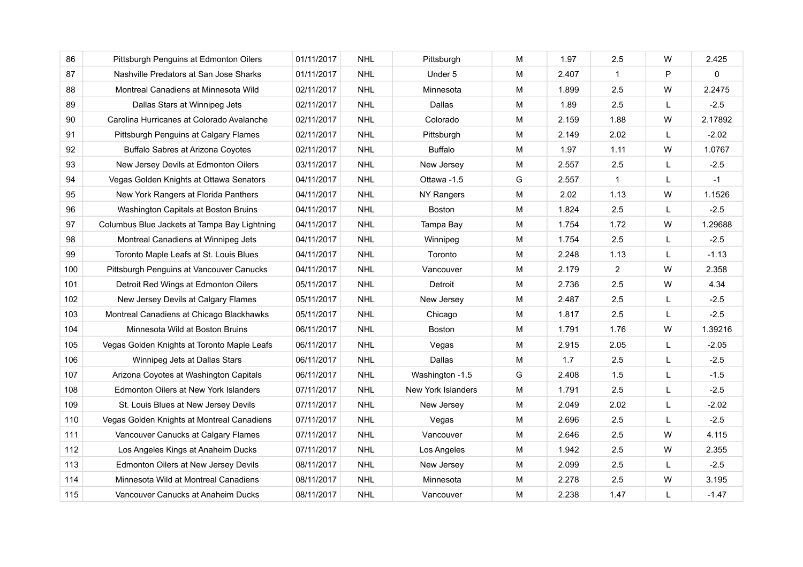| 86  | Pittsburgh Penguins at Edmonton Oilers       | 01/11/2017 | <b>NHL</b> | Pittsburgh         | м | 1.97  | 2.5            | W            | 2.425   |
|-----|----------------------------------------------|------------|------------|--------------------|---|-------|----------------|--------------|---------|
| 87  | Nashville Predators at San Jose Sharks       | 01/11/2017 | <b>NHL</b> | Under 5            | M | 2.407 | 1              | $\mathsf{P}$ | 0       |
| 88  | Montreal Canadiens at Minnesota Wild         | 02/11/2017 | <b>NHL</b> | Minnesota          | M | 1.899 | 2.5            | W            | 2.2475  |
| 89  | Dallas Stars at Winnipeg Jets                | 02/11/2017 | <b>NHL</b> | Dallas             | M | 1.89  | 2.5            | L            | $-2.5$  |
| 90  | Carolina Hurricanes at Colorado Avalanche    | 02/11/2017 | <b>NHL</b> | Colorado           | M | 2.159 | 1.88           | W            | 2.17892 |
| 91  | Pittsburgh Penguins at Calgary Flames        | 02/11/2017 | <b>NHL</b> | Pittsburgh         | M | 2.149 | 2.02           | L            | $-2.02$ |
| 92  | Buffalo Sabres at Arizona Coyotes            | 02/11/2017 | <b>NHL</b> | <b>Buffalo</b>     | м | 1.97  | 1.11           | W            | 1.0767  |
| 93  | New Jersey Devils at Edmonton Oilers         | 03/11/2017 | <b>NHL</b> | New Jersey         | M | 2.557 | 2.5            | L            | $-2.5$  |
| 94  | Vegas Golden Knights at Ottawa Senators      | 04/11/2017 | <b>NHL</b> | Ottawa -1.5        | G | 2.557 | $\mathbf{1}$   | L            | $-1$    |
| 95  | New York Rangers at Florida Panthers         | 04/11/2017 | <b>NHL</b> | NY Rangers         | M | 2.02  | 1.13           | W            | 1.1526  |
| 96  | Washington Capitals at Boston Bruins         | 04/11/2017 | <b>NHL</b> | Boston             | M | 1.824 | 2.5            | L            | $-2.5$  |
| 97  | Columbus Blue Jackets at Tampa Bay Lightning | 04/11/2017 | <b>NHL</b> | Tampa Bay          | M | 1.754 | 1.72           | W            | 1.29688 |
| 98  | Montreal Canadiens at Winnipeg Jets          | 04/11/2017 | <b>NHL</b> | Winnipeg           | M | 1.754 | 2.5            | L            | $-2.5$  |
| 99  | Toronto Maple Leafs at St. Louis Blues       | 04/11/2017 | <b>NHL</b> | Toronto            | M | 2.248 | 1.13           | L            | $-1.13$ |
| 100 | Pittsburgh Penguins at Vancouver Canucks     | 04/11/2017 | <b>NHL</b> | Vancouver          | м | 2.179 | $\overline{c}$ | W            | 2.358   |
| 101 | Detroit Red Wings at Edmonton Oilers         | 05/11/2017 | <b>NHL</b> | Detroit            | M | 2.736 | 2.5            | W            | 4.34    |
| 102 | New Jersey Devils at Calgary Flames          | 05/11/2017 | <b>NHL</b> | New Jersey         | M | 2.487 | 2.5            | L            | $-2.5$  |
| 103 | Montreal Canadiens at Chicago Blackhawks     | 05/11/2017 | <b>NHL</b> | Chicago            | M | 1.817 | 2.5            | L            | $-2.5$  |
| 104 | Minnesota Wild at Boston Bruins              | 06/11/2017 | <b>NHL</b> | Boston             | M | 1.791 | 1.76           | W            | 1.39216 |
| 105 | Vegas Golden Knights at Toronto Maple Leafs  | 06/11/2017 | <b>NHL</b> | Vegas              | M | 2.915 | 2.05           | L            | $-2.05$ |
| 106 | Winnipeg Jets at Dallas Stars                | 06/11/2017 | <b>NHL</b> | Dallas             | M | 1.7   | 2.5            | L            | $-2.5$  |
| 107 | Arizona Coyotes at Washington Capitals       | 06/11/2017 | <b>NHL</b> | Washington -1.5    | G | 2.408 | 1.5            | L            | $-1.5$  |
| 108 | Edmonton Oilers at New York Islanders        | 07/11/2017 | <b>NHL</b> | New York Islanders | M | 1.791 | 2.5            | L            | $-2.5$  |
| 109 | St. Louis Blues at New Jersey Devils         | 07/11/2017 | <b>NHL</b> | New Jersey         | M | 2.049 | 2.02           | L            | $-2.02$ |
| 110 | Vegas Golden Knights at Montreal Canadiens   | 07/11/2017 | <b>NHL</b> | Vegas              | M | 2.696 | 2.5            | L            | $-2.5$  |
| 111 | Vancouver Canucks at Calgary Flames          | 07/11/2017 | <b>NHL</b> | Vancouver          | M | 2.646 | 2.5            | W            | 4.115   |
| 112 | Los Angeles Kings at Anaheim Ducks           | 07/11/2017 | <b>NHL</b> | Los Angeles        | M | 1.942 | 2.5            | W            | 2.355   |
| 113 | Edmonton Oilers at New Jersey Devils         | 08/11/2017 | <b>NHL</b> | New Jersey         | M | 2.099 | 2.5            | L            | $-2.5$  |
| 114 | Minnesota Wild at Montreal Canadiens         | 08/11/2017 | <b>NHL</b> | Minnesota          | M | 2.278 | 2.5            | W            | 3.195   |
| 115 | Vancouver Canucks at Anaheim Ducks           | 08/11/2017 | <b>NHL</b> | Vancouver          | M | 2.238 | 1.47           | L            | $-1.47$ |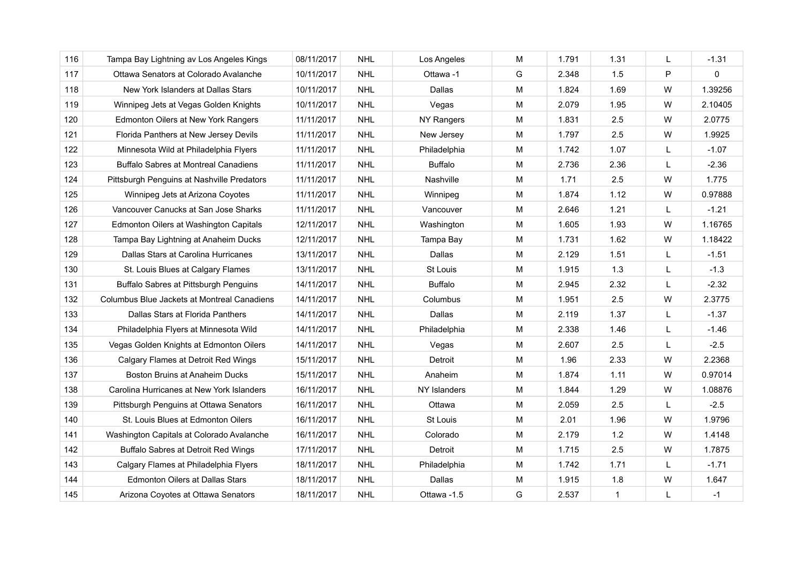| 116 | Tampa Bay Lightning av Los Angeles Kings    | 08/11/2017 | <b>NHL</b> | Los Angeles    | M         | 1.791 | 1.31         | L            | $-1.31$  |
|-----|---------------------------------------------|------------|------------|----------------|-----------|-------|--------------|--------------|----------|
| 117 | Ottawa Senators at Colorado Avalanche       | 10/11/2017 | <b>NHL</b> | Ottawa -1      | G         | 2.348 | 1.5          | $\mathsf{P}$ | $\Omega$ |
| 118 | New York Islanders at Dallas Stars          | 10/11/2017 | <b>NHL</b> | Dallas         | M         | 1.824 | 1.69         | W            | 1.39256  |
| 119 | Winnipeg Jets at Vegas Golden Knights       | 10/11/2017 | <b>NHL</b> | Vegas          | ${\sf M}$ | 2.079 | 1.95         | W            | 2.10405  |
| 120 | Edmonton Oilers at New York Rangers         | 11/11/2017 | <b>NHL</b> | NY Rangers     | M         | 1.831 | 2.5          | W            | 2.0775   |
| 121 | Florida Panthers at New Jersey Devils       | 11/11/2017 | <b>NHL</b> | New Jersey     | M         | 1.797 | 2.5          | W            | 1.9925   |
| 122 | Minnesota Wild at Philadelphia Flyers       | 11/11/2017 | <b>NHL</b> | Philadelphia   | M         | 1.742 | 1.07         | L            | $-1.07$  |
| 123 | <b>Buffalo Sabres at Montreal Canadiens</b> | 11/11/2017 | <b>NHL</b> | <b>Buffalo</b> | M         | 2.736 | 2.36         | L            | $-2.36$  |
| 124 | Pittsburgh Penguins at Nashville Predators  | 11/11/2017 | <b>NHL</b> | Nashville      | M         | 1.71  | 2.5          | W            | 1.775    |
| 125 | Winnipeg Jets at Arizona Coyotes            | 11/11/2017 | <b>NHL</b> | Winnipeg       | M         | 1.874 | 1.12         | W            | 0.97888  |
| 126 | Vancouver Canucks at San Jose Sharks        | 11/11/2017 | <b>NHL</b> | Vancouver      | M         | 2.646 | 1.21         | L            | $-1.21$  |
| 127 | Edmonton Oilers at Washington Capitals      | 12/11/2017 | <b>NHL</b> | Washington     | M         | 1.605 | 1.93         | W            | 1.16765  |
| 128 | Tampa Bay Lightning at Anaheim Ducks        | 12/11/2017 | <b>NHL</b> | Tampa Bay      | M         | 1.731 | 1.62         | W            | 1.18422  |
| 129 | Dallas Stars at Carolina Hurricanes         | 13/11/2017 | <b>NHL</b> | Dallas         | M         | 2.129 | 1.51         | L            | $-1.51$  |
| 130 | St. Louis Blues at Calgary Flames           | 13/11/2017 | <b>NHL</b> | St Louis       | M         | 1.915 | 1.3          | L            | $-1.3$   |
| 131 | Buffalo Sabres at Pittsburgh Penguins       | 14/11/2017 | <b>NHL</b> | <b>Buffalo</b> | M         | 2.945 | 2.32         | L            | $-2.32$  |
| 132 | Columbus Blue Jackets at Montreal Canadiens | 14/11/2017 | <b>NHL</b> | Columbus       | M         | 1.951 | 2.5          | W            | 2.3775   |
| 133 | Dallas Stars at Florida Panthers            | 14/11/2017 | <b>NHL</b> | Dallas         | M         | 2.119 | 1.37         | L            | $-1.37$  |
| 134 | Philadelphia Flyers at Minnesota Wild       | 14/11/2017 | <b>NHL</b> | Philadelphia   | M         | 2.338 | 1.46         | L            | $-1.46$  |
| 135 | Vegas Golden Knights at Edmonton Oilers     | 14/11/2017 | <b>NHL</b> | Vegas          | M         | 2.607 | 2.5          | L            | $-2.5$   |
| 136 | Calgary Flames at Detroit Red Wings         | 15/11/2017 | <b>NHL</b> | Detroit        | M         | 1.96  | 2.33         | W            | 2.2368   |
| 137 | Boston Bruins at Anaheim Ducks              | 15/11/2017 | <b>NHL</b> | Anaheim        | M         | 1.874 | 1.11         | W            | 0.97014  |
| 138 | Carolina Hurricanes at New York Islanders   | 16/11/2017 | <b>NHL</b> | NY Islanders   | м         | 1.844 | 1.29         | W            | 1.08876  |
| 139 | Pittsburgh Penguins at Ottawa Senators      | 16/11/2017 | <b>NHL</b> | Ottawa         | M         | 2.059 | 2.5          | L            | $-2.5$   |
| 140 | St. Louis Blues at Edmonton Oilers          | 16/11/2017 | <b>NHL</b> | St Louis       | M         | 2.01  | 1.96         | W            | 1.9796   |
| 141 | Washington Capitals at Colorado Avalanche   | 16/11/2017 | <b>NHL</b> | Colorado       | M         | 2.179 | 1.2          | W            | 1.4148   |
| 142 | Buffalo Sabres at Detroit Red Wings         | 17/11/2017 | <b>NHL</b> | Detroit        | M         | 1.715 | 2.5          | W            | 1.7875   |
| 143 | Calgary Flames at Philadelphia Flyers       | 18/11/2017 | <b>NHL</b> | Philadelphia   | M         | 1.742 | 1.71         | L            | $-1.71$  |
| 144 | <b>Edmonton Oilers at Dallas Stars</b>      | 18/11/2017 | <b>NHL</b> | Dallas         | M         | 1.915 | 1.8          | W            | 1.647    |
| 145 | Arizona Coyotes at Ottawa Senators          | 18/11/2017 | <b>NHL</b> | Ottawa -1.5    | G         | 2.537 | $\mathbf{1}$ | L            | $-1$     |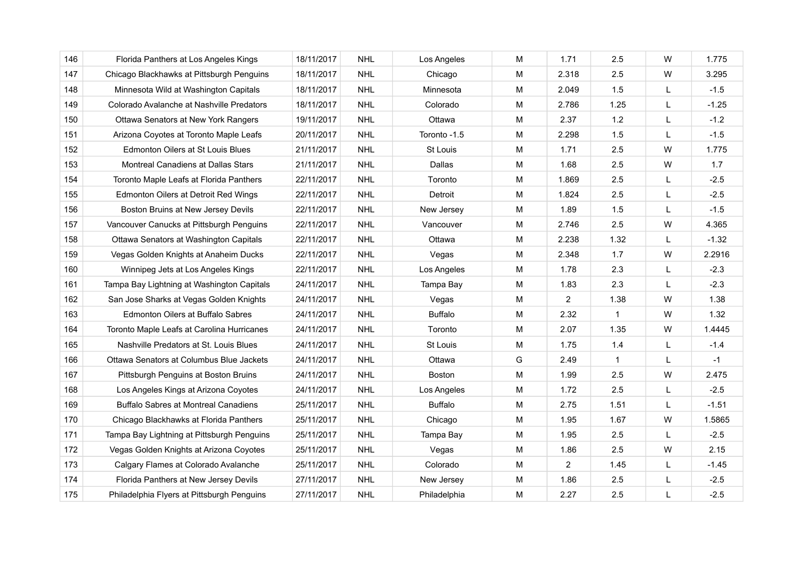| 146 | Florida Panthers at Los Angeles Kings       | 18/11/2017 | <b>NHL</b> | Los Angeles    | М | 1.71           | 2.5          | W | 1.775   |
|-----|---------------------------------------------|------------|------------|----------------|---|----------------|--------------|---|---------|
| 147 | Chicago Blackhawks at Pittsburgh Penguins   | 18/11/2017 | <b>NHL</b> | Chicago        | М | 2.318          | 2.5          | W | 3.295   |
| 148 | Minnesota Wild at Washington Capitals       | 18/11/2017 | <b>NHL</b> | Minnesota      | М | 2.049          | 1.5          | L | $-1.5$  |
| 149 | Colorado Avalanche at Nashville Predators   | 18/11/2017 | <b>NHL</b> | Colorado       | М | 2.786          | 1.25         | L | $-1.25$ |
| 150 | Ottawa Senators at New York Rangers         | 19/11/2017 | <b>NHL</b> | Ottawa         | М | 2.37           | 1.2          | L | $-1.2$  |
| 151 | Arizona Coyotes at Toronto Maple Leafs      | 20/11/2017 | <b>NHL</b> | Toronto -1.5   | М | 2.298          | 1.5          | L | $-1.5$  |
| 152 | Edmonton Oilers at St Louis Blues           | 21/11/2017 | <b>NHL</b> | St Louis       | М | 1.71           | 2.5          | W | 1.775   |
| 153 | Montreal Canadiens at Dallas Stars          | 21/11/2017 | <b>NHL</b> | Dallas         | М | 1.68           | 2.5          | W | 1.7     |
| 154 | Toronto Maple Leafs at Florida Panthers     | 22/11/2017 | <b>NHL</b> | Toronto        | М | 1.869          | 2.5          | L | $-2.5$  |
| 155 | Edmonton Oilers at Detroit Red Wings        | 22/11/2017 | <b>NHL</b> | Detroit        | М | 1.824          | 2.5          | L | $-2.5$  |
| 156 | Boston Bruins at New Jersey Devils          | 22/11/2017 | <b>NHL</b> | New Jersey     | М | 1.89           | 1.5          | L | $-1.5$  |
| 157 | Vancouver Canucks at Pittsburgh Penguins    | 22/11/2017 | <b>NHL</b> | Vancouver      | M | 2.746          | 2.5          | W | 4.365   |
| 158 | Ottawa Senators at Washington Capitals      | 22/11/2017 | <b>NHL</b> | Ottawa         | М | 2.238          | 1.32         | L | $-1.32$ |
| 159 | Vegas Golden Knights at Anaheim Ducks       | 22/11/2017 | <b>NHL</b> | Vegas          | M | 2.348          | 1.7          | W | 2.2916  |
| 160 | Winnipeg Jets at Los Angeles Kings          | 22/11/2017 | <b>NHL</b> | Los Angeles    | М | 1.78           | 2.3          | L | $-2.3$  |
| 161 | Tampa Bay Lightning at Washington Capitals  | 24/11/2017 | <b>NHL</b> | Tampa Bay      | М | 1.83           | 2.3          | L | $-2.3$  |
| 162 | San Jose Sharks at Vegas Golden Knights     | 24/11/2017 | <b>NHL</b> | Vegas          | M | $\overline{2}$ | 1.38         | W | 1.38    |
| 163 | Edmonton Oilers at Buffalo Sabres           | 24/11/2017 | <b>NHL</b> | <b>Buffalo</b> | М | 2.32           | $\mathbf{1}$ | W | 1.32    |
| 164 | Toronto Maple Leafs at Carolina Hurricanes  | 24/11/2017 | <b>NHL</b> | Toronto        | М | 2.07           | 1.35         | W | 1.4445  |
| 165 | Nashville Predators at St. Louis Blues      | 24/11/2017 | <b>NHL</b> | St Louis       | М | 1.75           | 1.4          | L | $-1.4$  |
| 166 | Ottawa Senators at Columbus Blue Jackets    | 24/11/2017 | <b>NHL</b> | Ottawa         | G | 2.49           | $\mathbf{1}$ | L | $-1$    |
| 167 | Pittsburgh Penguins at Boston Bruins        | 24/11/2017 | <b>NHL</b> | Boston         | М | 1.99           | 2.5          | W | 2.475   |
| 168 | Los Angeles Kings at Arizona Coyotes        | 24/11/2017 | <b>NHL</b> | Los Angeles    | М | 1.72           | 2.5          | L | $-2.5$  |
| 169 | <b>Buffalo Sabres at Montreal Canadiens</b> | 25/11/2017 | <b>NHL</b> | <b>Buffalo</b> | M | 2.75           | 1.51         | L | $-1.51$ |
| 170 | Chicago Blackhawks at Florida Panthers      | 25/11/2017 | <b>NHL</b> | Chicago        | М | 1.95           | 1.67         | W | 1.5865  |
| 171 | Tampa Bay Lightning at Pittsburgh Penguins  | 25/11/2017 | <b>NHL</b> | Tampa Bay      | M | 1.95           | 2.5          | L | $-2.5$  |
| 172 | Vegas Golden Knights at Arizona Coyotes     | 25/11/2017 | <b>NHL</b> | Vegas          | М | 1.86           | 2.5          | W | 2.15    |
| 173 | Calgary Flames at Colorado Avalanche        | 25/11/2017 | <b>NHL</b> | Colorado       | M | $\overline{2}$ | 1.45         | L | $-1.45$ |
| 174 | Florida Panthers at New Jersey Devils       | 27/11/2017 | <b>NHL</b> | New Jersey     | M | 1.86           | 2.5          | L | $-2.5$  |
| 175 | Philadelphia Flyers at Pittsburgh Penguins  | 27/11/2017 | <b>NHL</b> | Philadelphia   | М | 2.27           | 2.5          | L | $-2.5$  |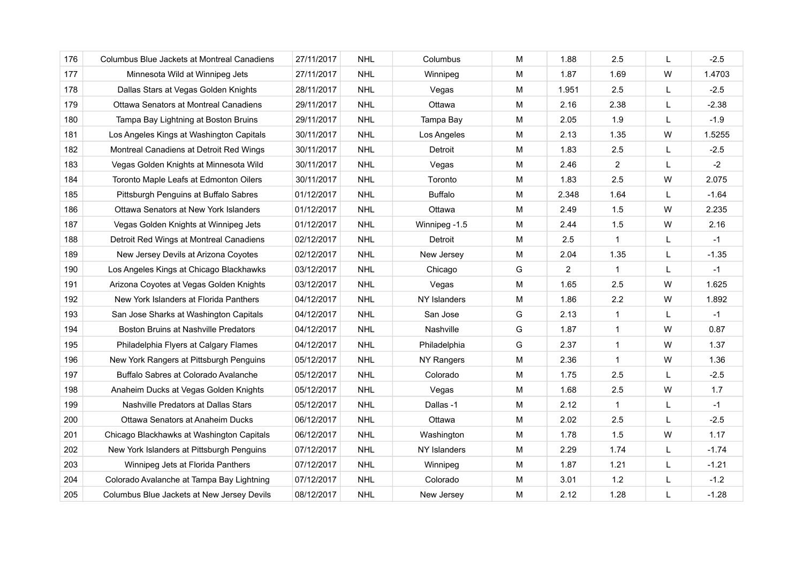| 176 | Columbus Blue Jackets at Montreal Canadiens | 27/11/2017 | <b>NHL</b> | Columbus       | M | 1.88  | 2.5            | L | $-2.5$  |
|-----|---------------------------------------------|------------|------------|----------------|---|-------|----------------|---|---------|
| 177 | Minnesota Wild at Winnipeg Jets             | 27/11/2017 | <b>NHL</b> | Winnipeg       | М | 1.87  | 1.69           | W | 1.4703  |
| 178 | Dallas Stars at Vegas Golden Knights        | 28/11/2017 | <b>NHL</b> | Vegas          | М | 1.951 | 2.5            | L | $-2.5$  |
| 179 | Ottawa Senators at Montreal Canadiens       | 29/11/2017 | <b>NHL</b> | Ottawa         | М | 2.16  | 2.38           | L | $-2.38$ |
| 180 | Tampa Bay Lightning at Boston Bruins        | 29/11/2017 | <b>NHL</b> | Tampa Bay      | M | 2.05  | 1.9            | L | $-1.9$  |
| 181 | Los Angeles Kings at Washington Capitals    | 30/11/2017 | <b>NHL</b> | Los Angeles    | М | 2.13  | 1.35           | W | 1.5255  |
| 182 | Montreal Canadiens at Detroit Red Wings     | 30/11/2017 | <b>NHL</b> | Detroit        | М | 1.83  | 2.5            | L | $-2.5$  |
| 183 | Vegas Golden Knights at Minnesota Wild      | 30/11/2017 | <b>NHL</b> | Vegas          | М | 2.46  | $\overline{2}$ | L | $-2$    |
| 184 | Toronto Maple Leafs at Edmonton Oilers      | 30/11/2017 | <b>NHL</b> | Toronto        | М | 1.83  | 2.5            | W | 2.075   |
| 185 | Pittsburgh Penguins at Buffalo Sabres       | 01/12/2017 | <b>NHL</b> | <b>Buffalo</b> | М | 2.348 | 1.64           | L | $-1.64$ |
| 186 | Ottawa Senators at New York Islanders       | 01/12/2017 | <b>NHL</b> | Ottawa         | М | 2.49  | 1.5            | W | 2.235   |
| 187 | Vegas Golden Knights at Winnipeg Jets       | 01/12/2017 | <b>NHL</b> | Winnipeg -1.5  | М | 2.44  | 1.5            | W | 2.16    |
| 188 | Detroit Red Wings at Montreal Canadiens     | 02/12/2017 | <b>NHL</b> | Detroit        | M | 2.5   | 1              | L | $-1$    |
| 189 | New Jersey Devils at Arizona Coyotes        | 02/12/2017 | <b>NHL</b> | New Jersey     | М | 2.04  | 1.35           | L | $-1.35$ |
| 190 | Los Angeles Kings at Chicago Blackhawks     | 03/12/2017 | <b>NHL</b> | Chicago        | G | 2     | $\mathbf{1}$   | L | $-1$    |
| 191 | Arizona Coyotes at Vegas Golden Knights     | 03/12/2017 | <b>NHL</b> | Vegas          | М | 1.65  | 2.5            | W | 1.625   |
| 192 | New York Islanders at Florida Panthers      | 04/12/2017 | <b>NHL</b> | NY Islanders   | M | 1.86  | 2.2            | W | 1.892   |
| 193 | San Jose Sharks at Washington Capitals      | 04/12/2017 | <b>NHL</b> | San Jose       | G | 2.13  | $\mathbf{1}$   | L | $-1$    |
| 194 | Boston Bruins at Nashville Predators        | 04/12/2017 | <b>NHL</b> | Nashville      | G | 1.87  | $\mathbf{1}$   | W | 0.87    |
| 195 | Philadelphia Flyers at Calgary Flames       | 04/12/2017 | <b>NHL</b> | Philadelphia   | G | 2.37  | $\mathbf{1}$   | W | 1.37    |
| 196 | New York Rangers at Pittsburgh Penguins     | 05/12/2017 | <b>NHL</b> | NY Rangers     | М | 2.36  | $\mathbf{1}$   | W | 1.36    |
| 197 | Buffalo Sabres at Colorado Avalanche        | 05/12/2017 | <b>NHL</b> | Colorado       | М | 1.75  | 2.5            | L | $-2.5$  |
| 198 | Anaheim Ducks at Vegas Golden Knights       | 05/12/2017 | <b>NHL</b> | Vegas          | M | 1.68  | 2.5            | W | 1.7     |
| 199 | Nashville Predators at Dallas Stars         | 05/12/2017 | <b>NHL</b> | Dallas -1      | М | 2.12  | $\mathbf{1}$   | L | $-1$    |
| 200 | Ottawa Senators at Anaheim Ducks            | 06/12/2017 | <b>NHL</b> | Ottawa         | M | 2.02  | 2.5            | L | $-2.5$  |
| 201 | Chicago Blackhawks at Washington Capitals   | 06/12/2017 | <b>NHL</b> | Washington     | М | 1.78  | 1.5            | W | 1.17    |
| 202 | New York Islanders at Pittsburgh Penguins   | 07/12/2017 | <b>NHL</b> | NY Islanders   | M | 2.29  | 1.74           | L | $-1.74$ |
| 203 | Winnipeg Jets at Florida Panthers           | 07/12/2017 | <b>NHL</b> | Winnipeg       | M | 1.87  | 1.21           | L | $-1.21$ |
| 204 | Colorado Avalanche at Tampa Bay Lightning   | 07/12/2017 | <b>NHL</b> | Colorado       | M | 3.01  | $1.2$          | L | $-1.2$  |
| 205 | Columbus Blue Jackets at New Jersey Devils  | 08/12/2017 | <b>NHL</b> | New Jersey     | М | 2.12  | 1.28           | L | $-1.28$ |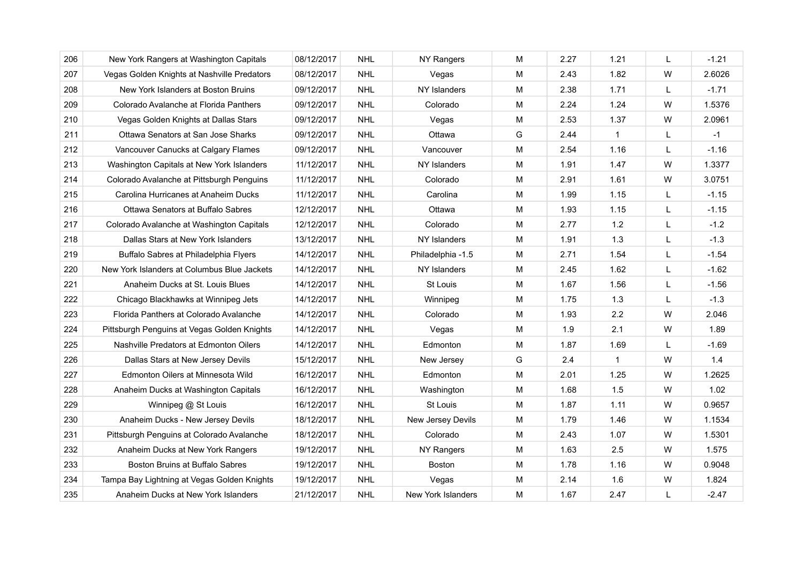| 206 | New York Rangers at Washington Capitals     | 08/12/2017 | <b>NHL</b> | NY Rangers         | M | 2.27 | 1.21  | L | $-1.21$ |
|-----|---------------------------------------------|------------|------------|--------------------|---|------|-------|---|---------|
| 207 | Vegas Golden Knights at Nashville Predators | 08/12/2017 | <b>NHL</b> | Vegas              | M | 2.43 | 1.82  | W | 2.6026  |
| 208 | New York Islanders at Boston Bruins         | 09/12/2017 | <b>NHL</b> | NY Islanders       | м | 2.38 | 1.71  | L | $-1.71$ |
| 209 | Colorado Avalanche at Florida Panthers      | 09/12/2017 | <b>NHL</b> | Colorado           | M | 2.24 | 1.24  | W | 1.5376  |
| 210 | Vegas Golden Knights at Dallas Stars        | 09/12/2017 | <b>NHL</b> | Vegas              | M | 2.53 | 1.37  | W | 2.0961  |
| 211 | Ottawa Senators at San Jose Sharks          | 09/12/2017 | <b>NHL</b> | Ottawa             | G | 2.44 | 1     | L | $-1$    |
| 212 | Vancouver Canucks at Calgary Flames         | 09/12/2017 | <b>NHL</b> | Vancouver          | M | 2.54 | 1.16  | L | $-1.16$ |
| 213 | Washington Capitals at New York Islanders   | 11/12/2017 | <b>NHL</b> | NY Islanders       | M | 1.91 | 1.47  | W | 1.3377  |
| 214 | Colorado Avalanche at Pittsburgh Penguins   | 11/12/2017 | <b>NHL</b> | Colorado           | M | 2.91 | 1.61  | W | 3.0751  |
| 215 | Carolina Hurricanes at Anaheim Ducks        | 11/12/2017 | <b>NHL</b> | Carolina           | M | 1.99 | 1.15  | L | $-1.15$ |
| 216 | Ottawa Senators at Buffalo Sabres           | 12/12/2017 | <b>NHL</b> | Ottawa             | M | 1.93 | 1.15  | L | $-1.15$ |
| 217 | Colorado Avalanche at Washington Capitals   | 12/12/2017 | <b>NHL</b> | Colorado           | M | 2.77 | $1.2$ | L | $-1.2$  |
| 218 | Dallas Stars at New York Islanders          | 13/12/2017 | <b>NHL</b> | NY Islanders       | M | 1.91 | 1.3   | L | $-1.3$  |
| 219 | Buffalo Sabres at Philadelphia Flyers       | 14/12/2017 | <b>NHL</b> | Philadelphia -1.5  | M | 2.71 | 1.54  | L | $-1.54$ |
| 220 | New York Islanders at Columbus Blue Jackets | 14/12/2017 | <b>NHL</b> | NY Islanders       | м | 2.45 | 1.62  | L | $-1.62$ |
| 221 | Anaheim Ducks at St. Louis Blues            | 14/12/2017 | <b>NHL</b> | St Louis           | M | 1.67 | 1.56  | L | $-1.56$ |
| 222 | Chicago Blackhawks at Winnipeg Jets         | 14/12/2017 | <b>NHL</b> | Winnipeg           | M | 1.75 | 1.3   | L | $-1.3$  |
| 223 | Florida Panthers at Colorado Avalanche      | 14/12/2017 | <b>NHL</b> | Colorado           | M | 1.93 | 2.2   | W | 2.046   |
| 224 | Pittsburgh Penguins at Vegas Golden Knights | 14/12/2017 | <b>NHL</b> | Vegas              | M | 1.9  | 2.1   | W | 1.89    |
| 225 | Nashville Predators at Edmonton Oilers      | 14/12/2017 | <b>NHL</b> | Edmonton           | M | 1.87 | 1.69  | L | $-1.69$ |
| 226 | Dallas Stars at New Jersey Devils           | 15/12/2017 | <b>NHL</b> | New Jersey         | G | 2.4  | 1     | W | 1.4     |
| 227 | Edmonton Oilers at Minnesota Wild           | 16/12/2017 | <b>NHL</b> | Edmonton           | M | 2.01 | 1.25  | W | 1.2625  |
| 228 | Anaheim Ducks at Washington Capitals        | 16/12/2017 | <b>NHL</b> | Washington         | M | 1.68 | 1.5   | W | 1.02    |
| 229 | Winnipeg @ St Louis                         | 16/12/2017 | <b>NHL</b> | St Louis           | M | 1.87 | 1.11  | W | 0.9657  |
| 230 | Anaheim Ducks - New Jersey Devils           | 18/12/2017 | <b>NHL</b> | New Jersey Devils  | M | 1.79 | 1.46  | W | 1.1534  |
| 231 | Pittsburgh Penguins at Colorado Avalanche   | 18/12/2017 | <b>NHL</b> | Colorado           | M | 2.43 | 1.07  | W | 1.5301  |
| 232 | Anaheim Ducks at New York Rangers           | 19/12/2017 | <b>NHL</b> | NY Rangers         | M | 1.63 | 2.5   | W | 1.575   |
| 233 | Boston Bruins at Buffalo Sabres             | 19/12/2017 | <b>NHL</b> | <b>Boston</b>      | M | 1.78 | 1.16  | W | 0.9048  |
| 234 | Tampa Bay Lightning at Vegas Golden Knights | 19/12/2017 | <b>NHL</b> | Vegas              | M | 2.14 | 1.6   | W | 1.824   |
| 235 | Anaheim Ducks at New York Islanders         | 21/12/2017 | <b>NHL</b> | New York Islanders | M | 1.67 | 2.47  | L | $-2.47$ |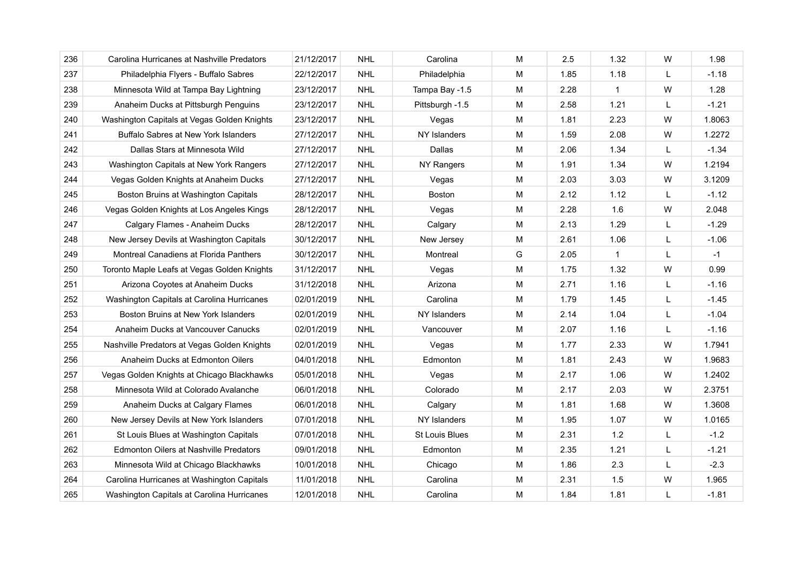| 236 | Carolina Hurricanes at Nashville Predators  | 21/12/2017 | <b>NHL</b> | Carolina        | M | 2.5  | 1.32  | W | 1.98    |
|-----|---------------------------------------------|------------|------------|-----------------|---|------|-------|---|---------|
| 237 | Philadelphia Flyers - Buffalo Sabres        | 22/12/2017 | <b>NHL</b> | Philadelphia    | M | 1.85 | 1.18  | L | $-1.18$ |
| 238 | Minnesota Wild at Tampa Bay Lightning       | 23/12/2017 | <b>NHL</b> | Tampa Bay -1.5  | м | 2.28 | 1     | W | 1.28    |
| 239 | Anaheim Ducks at Pittsburgh Penguins        | 23/12/2017 | <b>NHL</b> | Pittsburgh -1.5 | M | 2.58 | 1.21  | L | $-1.21$ |
| 240 | Washington Capitals at Vegas Golden Knights | 23/12/2017 | <b>NHL</b> | Vegas           | M | 1.81 | 2.23  | W | 1.8063  |
| 241 | Buffalo Sabres at New York Islanders        | 27/12/2017 | <b>NHL</b> | NY Islanders    | M | 1.59 | 2.08  | W | 1.2272  |
| 242 | Dallas Stars at Minnesota Wild              | 27/12/2017 | <b>NHL</b> | Dallas          | M | 2.06 | 1.34  | L | $-1.34$ |
| 243 | Washington Capitals at New York Rangers     | 27/12/2017 | <b>NHL</b> | NY Rangers      | M | 1.91 | 1.34  | W | 1.2194  |
| 244 | Vegas Golden Knights at Anaheim Ducks       | 27/12/2017 | <b>NHL</b> | Vegas           | M | 2.03 | 3.03  | W | 3.1209  |
| 245 | Boston Bruins at Washington Capitals        | 28/12/2017 | <b>NHL</b> | Boston          | M | 2.12 | 1.12  | L | $-1.12$ |
| 246 | Vegas Golden Knights at Los Angeles Kings   | 28/12/2017 | <b>NHL</b> | Vegas           | M | 2.28 | 1.6   | W | 2.048   |
| 247 | Calgary Flames - Anaheim Ducks              | 28/12/2017 | <b>NHL</b> | Calgary         | M | 2.13 | 1.29  | L | $-1.29$ |
| 248 | New Jersey Devils at Washington Capitals    | 30/12/2017 | <b>NHL</b> | New Jersey      | м | 2.61 | 1.06  | L | $-1.06$ |
| 249 | Montreal Canadiens at Florida Panthers      | 30/12/2017 | <b>NHL</b> | Montreal        | G | 2.05 | 1     | L | $-1$    |
| 250 | Toronto Maple Leafs at Vegas Golden Knights | 31/12/2017 | <b>NHL</b> | Vegas           | M | 1.75 | 1.32  | W | 0.99    |
| 251 | Arizona Coyotes at Anaheim Ducks            | 31/12/2018 | <b>NHL</b> | Arizona         | M | 2.71 | 1.16  | L | $-1.16$ |
| 252 | Washington Capitals at Carolina Hurricanes  | 02/01/2019 | <b>NHL</b> | Carolina        | M | 1.79 | 1.45  | L | $-1.45$ |
| 253 | Boston Bruins at New York Islanders         | 02/01/2019 | <b>NHL</b> | NY Islanders    | M | 2.14 | 1.04  | L | $-1.04$ |
| 254 | Anaheim Ducks at Vancouver Canucks          | 02/01/2019 | <b>NHL</b> | Vancouver       | м | 2.07 | 1.16  | L | $-1.16$ |
| 255 | Nashville Predators at Vegas Golden Knights | 02/01/2019 | <b>NHL</b> | Vegas           | M | 1.77 | 2.33  | W | 1.7941  |
| 256 | Anaheim Ducks at Edmonton Oilers            | 04/01/2018 | <b>NHL</b> | Edmonton        | M | 1.81 | 2.43  | W | 1.9683  |
| 257 | Vegas Golden Knights at Chicago Blackhawks  | 05/01/2018 | <b>NHL</b> | Vegas           | M | 2.17 | 1.06  | W | 1.2402  |
| 258 | Minnesota Wild at Colorado Avalanche        | 06/01/2018 | <b>NHL</b> | Colorado        | M | 2.17 | 2.03  | W | 2.3751  |
| 259 | Anaheim Ducks at Calgary Flames             | 06/01/2018 | <b>NHL</b> | Calgary         | M | 1.81 | 1.68  | W | 1.3608  |
| 260 | New Jersey Devils at New York Islanders     | 07/01/2018 | <b>NHL</b> | NY Islanders    | M | 1.95 | 1.07  | W | 1.0165  |
| 261 | St Louis Blues at Washington Capitals       | 07/01/2018 | <b>NHL</b> | St Louis Blues  | M | 2.31 | $1.2$ | L | $-1.2$  |
| 262 | Edmonton Oilers at Nashville Predators      | 09/01/2018 | <b>NHL</b> | Edmonton        | M | 2.35 | 1.21  | L | $-1.21$ |
| 263 | Minnesota Wild at Chicago Blackhawks        | 10/01/2018 | <b>NHL</b> | Chicago         | M | 1.86 | 2.3   | L | $-2.3$  |
| 264 | Carolina Hurricanes at Washington Capitals  | 11/01/2018 | <b>NHL</b> | Carolina        | M | 2.31 | 1.5   | W | 1.965   |
| 265 | Washington Capitals at Carolina Hurricanes  | 12/01/2018 | <b>NHL</b> | Carolina        | M | 1.84 | 1.81  | L | $-1.81$ |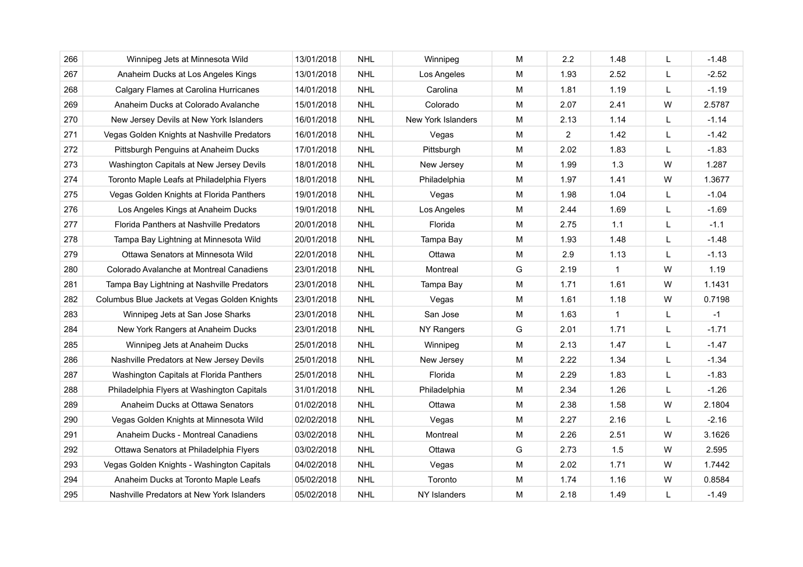| 266 | Winnipeg Jets at Minnesota Wild               | 13/01/2018 | <b>NHL</b> | Winnipeg           | M | 2.2            | 1.48         | L | $-1.48$ |
|-----|-----------------------------------------------|------------|------------|--------------------|---|----------------|--------------|---|---------|
| 267 | Anaheim Ducks at Los Angeles Kings            | 13/01/2018 | <b>NHL</b> | Los Angeles        | M | 1.93           | 2.52         | L | $-2.52$ |
| 268 | Calgary Flames at Carolina Hurricanes         | 14/01/2018 | <b>NHL</b> | Carolina           | M | 1.81           | 1.19         | L | $-1.19$ |
| 269 | Anaheim Ducks at Colorado Avalanche           | 15/01/2018 | <b>NHL</b> | Colorado           | M | 2.07           | 2.41         | W | 2.5787  |
| 270 | New Jersey Devils at New York Islanders       | 16/01/2018 | <b>NHL</b> | New York Islanders | M | 2.13           | 1.14         | L | $-1.14$ |
| 271 | Vegas Golden Knights at Nashville Predators   | 16/01/2018 | <b>NHL</b> | Vegas              | M | $\overline{2}$ | 1.42         | L | $-1.42$ |
| 272 | Pittsburgh Penguins at Anaheim Ducks          | 17/01/2018 | <b>NHL</b> | Pittsburgh         | M | 2.02           | 1.83         | L | $-1.83$ |
| 273 | Washington Capitals at New Jersey Devils      | 18/01/2018 | <b>NHL</b> | New Jersey         | M | 1.99           | 1.3          | W | 1.287   |
| 274 | Toronto Maple Leafs at Philadelphia Flyers    | 18/01/2018 | <b>NHL</b> | Philadelphia       | M | 1.97           | 1.41         | W | 1.3677  |
| 275 | Vegas Golden Knights at Florida Panthers      | 19/01/2018 | <b>NHL</b> | Vegas              | M | 1.98           | 1.04         | L | $-1.04$ |
| 276 | Los Angeles Kings at Anaheim Ducks            | 19/01/2018 | <b>NHL</b> | Los Angeles        | M | 2.44           | 1.69         | L | $-1.69$ |
| 277 | Florida Panthers at Nashville Predators       | 20/01/2018 | <b>NHL</b> | Florida            | M | 2.75           | 1.1          | L | $-1.1$  |
| 278 | Tampa Bay Lightning at Minnesota Wild         | 20/01/2018 | <b>NHL</b> | Tampa Bay          | M | 1.93           | 1.48         | L | $-1.48$ |
| 279 | Ottawa Senators at Minnesota Wild             | 22/01/2018 | <b>NHL</b> | Ottawa             | M | 2.9            | 1.13         | L | $-1.13$ |
| 280 | Colorado Avalanche at Montreal Canadiens      | 23/01/2018 | <b>NHL</b> | Montreal           | G | 2.19           | 1            | W | 1.19    |
| 281 | Tampa Bay Lightning at Nashville Predators    | 23/01/2018 | <b>NHL</b> | Tampa Bay          | M | 1.71           | 1.61         | W | 1.1431  |
| 282 | Columbus Blue Jackets at Vegas Golden Knights | 23/01/2018 | <b>NHL</b> | Vegas              | M | 1.61           | 1.18         | W | 0.7198  |
| 283 | Winnipeg Jets at San Jose Sharks              | 23/01/2018 | <b>NHL</b> | San Jose           | M | 1.63           | $\mathbf{1}$ | L | $-1$    |
| 284 | New York Rangers at Anaheim Ducks             | 23/01/2018 | <b>NHL</b> | NY Rangers         | G | 2.01           | 1.71         | L | $-1.71$ |
| 285 | Winnipeg Jets at Anaheim Ducks                | 25/01/2018 | <b>NHL</b> | Winnipeg           | M | 2.13           | 1.47         | L | $-1.47$ |
| 286 | Nashville Predators at New Jersey Devils      | 25/01/2018 | <b>NHL</b> | New Jersey         | M | 2.22           | 1.34         | L | $-1.34$ |
| 287 | Washington Capitals at Florida Panthers       | 25/01/2018 | <b>NHL</b> | Florida            | M | 2.29           | 1.83         | L | $-1.83$ |
| 288 | Philadelphia Flyers at Washington Capitals    | 31/01/2018 | <b>NHL</b> | Philadelphia       | M | 2.34           | 1.26         | L | $-1.26$ |
| 289 | Anaheim Ducks at Ottawa Senators              | 01/02/2018 | <b>NHL</b> | Ottawa             | M | 2.38           | 1.58         | W | 2.1804  |
| 290 | Vegas Golden Knights at Minnesota Wild        | 02/02/2018 | <b>NHL</b> | Vegas              | M | 2.27           | 2.16         | L | $-2.16$ |
| 291 | Anaheim Ducks - Montreal Canadiens            | 03/02/2018 | <b>NHL</b> | Montreal           | M | 2.26           | 2.51         | W | 3.1626  |
| 292 | Ottawa Senators at Philadelphia Flyers        | 03/02/2018 | <b>NHL</b> | Ottawa             | G | 2.73           | 1.5          | W | 2.595   |
| 293 | Vegas Golden Knights - Washington Capitals    | 04/02/2018 | <b>NHL</b> | Vegas              | M | 2.02           | 1.71         | W | 1.7442  |
| 294 | Anaheim Ducks at Toronto Maple Leafs          | 05/02/2018 | <b>NHL</b> | Toronto            | M | 1.74           | 1.16         | W | 0.8584  |
| 295 | Nashville Predators at New York Islanders     | 05/02/2018 | <b>NHL</b> | NY Islanders       | M | 2.18           | 1.49         | L | $-1.49$ |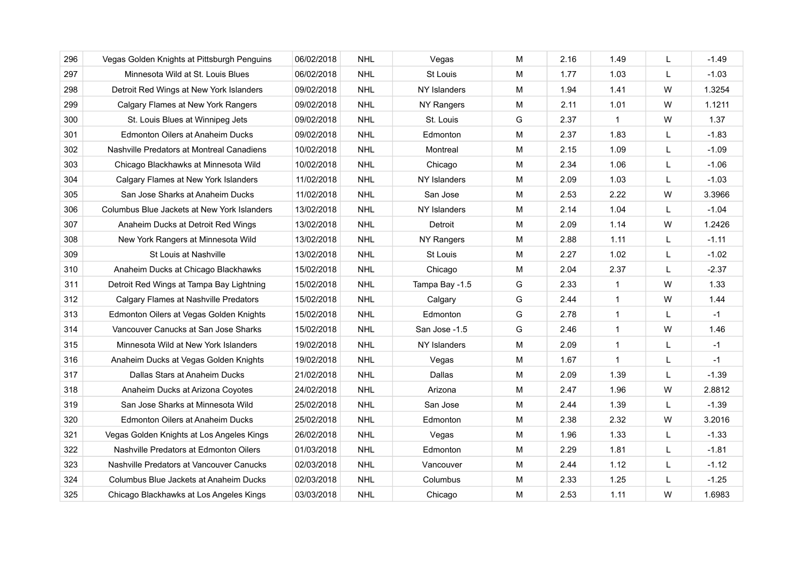| 296 | Vegas Golden Knights at Pittsburgh Penguins | 06/02/2018 | <b>NHL</b> | Vegas          | М | 2.16 | 1.49         | L | $-1.49$ |
|-----|---------------------------------------------|------------|------------|----------------|---|------|--------------|---|---------|
| 297 | Minnesota Wild at St. Louis Blues           | 06/02/2018 | <b>NHL</b> | St Louis       | М | 1.77 | 1.03         | L | $-1.03$ |
| 298 | Detroit Red Wings at New York Islanders     | 09/02/2018 | <b>NHL</b> | NY Islanders   | M | 1.94 | 1.41         | W | 1.3254  |
| 299 | Calgary Flames at New York Rangers          | 09/02/2018 | <b>NHL</b> | NY Rangers     | М | 2.11 | 1.01         | W | 1.1211  |
| 300 | St. Louis Blues at Winnipeg Jets            | 09/02/2018 | <b>NHL</b> | St. Louis      | G | 2.37 | $\mathbf{1}$ | W | 1.37    |
| 301 | Edmonton Oilers at Anaheim Ducks            | 09/02/2018 | <b>NHL</b> | Edmonton       | M | 2.37 | 1.83         | L | $-1.83$ |
| 302 | Nashville Predators at Montreal Canadiens   | 10/02/2018 | <b>NHL</b> | Montreal       | М | 2.15 | 1.09         | L | $-1.09$ |
| 303 | Chicago Blackhawks at Minnesota Wild        | 10/02/2018 | <b>NHL</b> | Chicago        | М | 2.34 | 1.06         | L | $-1.06$ |
| 304 | Calgary Flames at New York Islanders        | 11/02/2018 | <b>NHL</b> | NY Islanders   | М | 2.09 | 1.03         | L | $-1.03$ |
| 305 | San Jose Sharks at Anaheim Ducks            | 11/02/2018 | <b>NHL</b> | San Jose       | М | 2.53 | 2.22         | W | 3.3966  |
| 306 | Columbus Blue Jackets at New York Islanders | 13/02/2018 | <b>NHL</b> | NY Islanders   | М | 2.14 | 1.04         | L | $-1.04$ |
| 307 | Anaheim Ducks at Detroit Red Wings          | 13/02/2018 | <b>NHL</b> | Detroit        | M | 2.09 | 1.14         | W | 1.2426  |
| 308 | New York Rangers at Minnesota Wild          | 13/02/2018 | <b>NHL</b> | NY Rangers     | М | 2.88 | 1.11         | L | $-1.11$ |
| 309 | St Louis at Nashville                       | 13/02/2018 | <b>NHL</b> | St Louis       | M | 2.27 | 1.02         | L | $-1.02$ |
| 310 | Anaheim Ducks at Chicago Blackhawks         | 15/02/2018 | <b>NHL</b> | Chicago        | М | 2.04 | 2.37         | L | $-2.37$ |
| 311 | Detroit Red Wings at Tampa Bay Lightning    | 15/02/2018 | <b>NHL</b> | Tampa Bay -1.5 | G | 2.33 | $\mathbf{1}$ | W | 1.33    |
| 312 | Calgary Flames at Nashville Predators       | 15/02/2018 | <b>NHL</b> | Calgary        | G | 2.44 | $\mathbf{1}$ | W | 1.44    |
| 313 | Edmonton Oilers at Vegas Golden Knights     | 15/02/2018 | <b>NHL</b> | Edmonton       | G | 2.78 | $\mathbf{1}$ | L | $-1$    |
| 314 | Vancouver Canucks at San Jose Sharks        | 15/02/2018 | <b>NHL</b> | San Jose -1.5  | G | 2.46 | $\mathbf{1}$ | W | 1.46    |
| 315 | Minnesota Wild at New York Islanders        | 19/02/2018 | <b>NHL</b> | NY Islanders   | M | 2.09 | $\mathbf{1}$ | L | $-1$    |
| 316 | Anaheim Ducks at Vegas Golden Knights       | 19/02/2018 | <b>NHL</b> | Vegas          | M | 1.67 | $\mathbf{1}$ | L | $-1$    |
| 317 | Dallas Stars at Anaheim Ducks               | 21/02/2018 | <b>NHL</b> | Dallas         | М | 2.09 | 1.39         | L | $-1.39$ |
| 318 | Anaheim Ducks at Arizona Coyotes            | 24/02/2018 | <b>NHL</b> | Arizona        | М | 2.47 | 1.96         | W | 2.8812  |
| 319 | San Jose Sharks at Minnesota Wild           | 25/02/2018 | <b>NHL</b> | San Jose       | M | 2.44 | 1.39         | L | $-1.39$ |
| 320 | Edmonton Oilers at Anaheim Ducks            | 25/02/2018 | <b>NHL</b> | Edmonton       | M | 2.38 | 2.32         | W | 3.2016  |
| 321 | Vegas Golden Knights at Los Angeles Kings   | 26/02/2018 | <b>NHL</b> | Vegas          | M | 1.96 | 1.33         | L | $-1.33$ |
| 322 | Nashville Predators at Edmonton Oilers      | 01/03/2018 | <b>NHL</b> | Edmonton       | M | 2.29 | 1.81         | L | $-1.81$ |
| 323 | Nashville Predators at Vancouver Canucks    | 02/03/2018 | <b>NHL</b> | Vancouver      | М | 2.44 | 1.12         | L | $-1.12$ |
| 324 | Columbus Blue Jackets at Anaheim Ducks      | 02/03/2018 | <b>NHL</b> | Columbus       | M | 2.33 | 1.25         | L | $-1.25$ |
| 325 | Chicago Blackhawks at Los Angeles Kings     | 03/03/2018 | <b>NHL</b> | Chicago        | M | 2.53 | 1.11         | W | 1.6983  |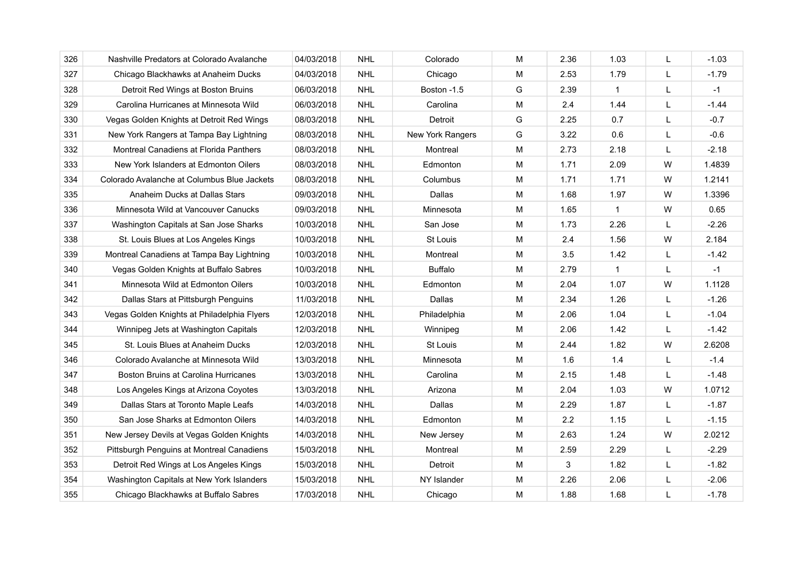| 326 | Nashville Predators at Colorado Avalanche   | 04/03/2018 | <b>NHL</b> | Colorado         | M | 2.36 | 1.03 | L | $-1.03$ |
|-----|---------------------------------------------|------------|------------|------------------|---|------|------|---|---------|
| 327 | Chicago Blackhawks at Anaheim Ducks         | 04/03/2018 | <b>NHL</b> | Chicago          | M | 2.53 | 1.79 | L | $-1.79$ |
| 328 | Detroit Red Wings at Boston Bruins          | 06/03/2018 | <b>NHL</b> | Boston - 1.5     | G | 2.39 | 1    | L | $-1$    |
| 329 | Carolina Hurricanes at Minnesota Wild       | 06/03/2018 | <b>NHL</b> | Carolina         | M | 2.4  | 1.44 | L | $-1.44$ |
| 330 | Vegas Golden Knights at Detroit Red Wings   | 08/03/2018 | <b>NHL</b> | Detroit          | G | 2.25 | 0.7  | L | $-0.7$  |
| 331 | New York Rangers at Tampa Bay Lightning     | 08/03/2018 | <b>NHL</b> | New York Rangers | G | 3.22 | 0.6  | L | $-0.6$  |
| 332 | Montreal Canadiens at Florida Panthers      | 08/03/2018 | <b>NHL</b> | Montreal         | M | 2.73 | 2.18 | L | $-2.18$ |
| 333 | New York Islanders at Edmonton Oilers       | 08/03/2018 | <b>NHL</b> | Edmonton         | M | 1.71 | 2.09 | W | 1.4839  |
| 334 | Colorado Avalanche at Columbus Blue Jackets | 08/03/2018 | <b>NHL</b> | Columbus         | M | 1.71 | 1.71 | W | 1.2141  |
| 335 | Anaheim Ducks at Dallas Stars               | 09/03/2018 | <b>NHL</b> | Dallas           | M | 1.68 | 1.97 | W | 1.3396  |
| 336 | Minnesota Wild at Vancouver Canucks         | 09/03/2018 | <b>NHL</b> | Minnesota        | M | 1.65 | 1    | W | 0.65    |
| 337 | Washington Capitals at San Jose Sharks      | 10/03/2018 | <b>NHL</b> | San Jose         | M | 1.73 | 2.26 | L | $-2.26$ |
| 338 | St. Louis Blues at Los Angeles Kings        | 10/03/2018 | <b>NHL</b> | St Louis         | м | 2.4  | 1.56 | W | 2.184   |
| 339 | Montreal Canadiens at Tampa Bay Lightning   | 10/03/2018 | <b>NHL</b> | Montreal         | M | 3.5  | 1.42 | L | $-1.42$ |
| 340 | Vegas Golden Knights at Buffalo Sabres      | 10/03/2018 | <b>NHL</b> | <b>Buffalo</b>   | M | 2.79 | 1    | L | $-1$    |
| 341 | Minnesota Wild at Edmonton Oilers           | 10/03/2018 | <b>NHL</b> | Edmonton         | M | 2.04 | 1.07 | W | 1.1128  |
| 342 | Dallas Stars at Pittsburgh Penguins         | 11/03/2018 | <b>NHL</b> | Dallas           | M | 2.34 | 1.26 | L | $-1.26$ |
| 343 | Vegas Golden Knights at Philadelphia Flyers | 12/03/2018 | <b>NHL</b> | Philadelphia     | M | 2.06 | 1.04 | L | $-1.04$ |
| 344 | Winnipeg Jets at Washington Capitals        | 12/03/2018 | <b>NHL</b> | Winnipeg         | M | 2.06 | 1.42 | L | $-1.42$ |
| 345 | St. Louis Blues at Anaheim Ducks            | 12/03/2018 | <b>NHL</b> | St Louis         | M | 2.44 | 1.82 | W | 2.6208  |
| 346 | Colorado Avalanche at Minnesota Wild        | 13/03/2018 | <b>NHL</b> | Minnesota        | M | 1.6  | 1.4  | L | $-1.4$  |
| 347 | Boston Bruins at Carolina Hurricanes        | 13/03/2018 | <b>NHL</b> | Carolina         | M | 2.15 | 1.48 | L | $-1.48$ |
| 348 | Los Angeles Kings at Arizona Coyotes        | 13/03/2018 | <b>NHL</b> | Arizona          | M | 2.04 | 1.03 | W | 1.0712  |
| 349 | Dallas Stars at Toronto Maple Leafs         | 14/03/2018 | <b>NHL</b> | Dallas           | M | 2.29 | 1.87 | L | $-1.87$ |
| 350 | San Jose Sharks at Edmonton Oilers          | 14/03/2018 | <b>NHL</b> | Edmonton         | M | 2.2  | 1.15 | L | $-1.15$ |
| 351 | New Jersey Devils at Vegas Golden Knights   | 14/03/2018 | <b>NHL</b> | New Jersey       | M | 2.63 | 1.24 | W | 2.0212  |
| 352 | Pittsburgh Penguins at Montreal Canadiens   | 15/03/2018 | <b>NHL</b> | Montreal         | M | 2.59 | 2.29 | L | $-2.29$ |
| 353 | Detroit Red Wings at Los Angeles Kings      | 15/03/2018 | <b>NHL</b> | Detroit          | M | 3    | 1.82 | L | $-1.82$ |
| 354 | Washington Capitals at New York Islanders   | 15/03/2018 | <b>NHL</b> | NY Islander      | M | 2.26 | 2.06 | L | $-2.06$ |
| 355 | Chicago Blackhawks at Buffalo Sabres        | 17/03/2018 | <b>NHL</b> | Chicago          | M | 1.88 | 1.68 | L | $-1.78$ |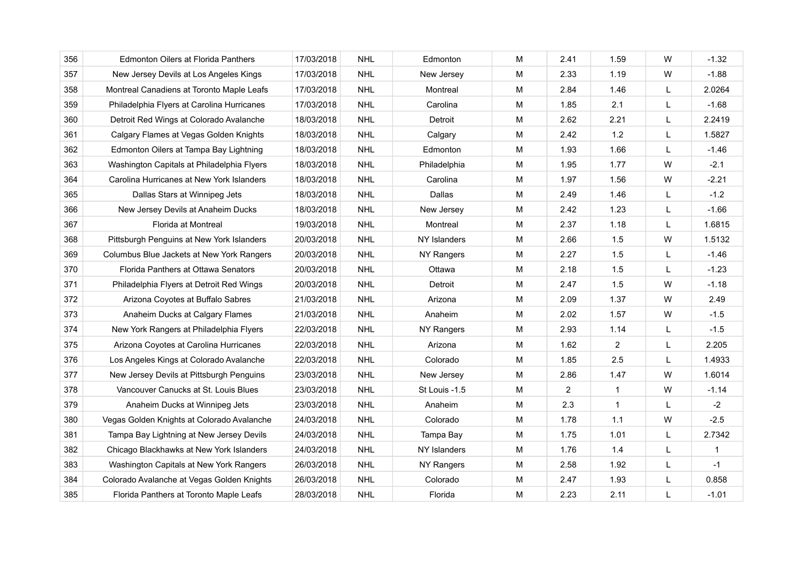| 356 | Edmonton Oilers at Florida Panthers        | 17/03/2018 | <b>NHL</b> | Edmonton          | М | 2.41           | 1.59           | W | $-1.32$ |
|-----|--------------------------------------------|------------|------------|-------------------|---|----------------|----------------|---|---------|
| 357 | New Jersey Devils at Los Angeles Kings     | 17/03/2018 | <b>NHL</b> | New Jersey        | М | 2.33           | 1.19           | W | $-1.88$ |
| 358 | Montreal Canadiens at Toronto Maple Leafs  | 17/03/2018 | <b>NHL</b> | Montreal          | M | 2.84           | 1.46           | L | 2.0264  |
| 359 | Philadelphia Flyers at Carolina Hurricanes | 17/03/2018 | <b>NHL</b> | Carolina          | М | 1.85           | 2.1            | L | $-1.68$ |
| 360 | Detroit Red Wings at Colorado Avalanche    | 18/03/2018 | <b>NHL</b> | Detroit           | М | 2.62           | 2.21           | L | 2.2419  |
| 361 | Calgary Flames at Vegas Golden Knights     | 18/03/2018 | <b>NHL</b> | Calgary           | М | 2.42           | 1.2            | L | 1.5827  |
| 362 | Edmonton Oilers at Tampa Bay Lightning     | 18/03/2018 | <b>NHL</b> | Edmonton          | М | 1.93           | 1.66           | L | $-1.46$ |
| 363 | Washington Capitals at Philadelphia Flyers | 18/03/2018 | <b>NHL</b> | Philadelphia      | М | 1.95           | 1.77           | W | $-2.1$  |
| 364 | Carolina Hurricanes at New York Islanders  | 18/03/2018 | <b>NHL</b> | Carolina          | М | 1.97           | 1.56           | W | $-2.21$ |
| 365 | Dallas Stars at Winnipeg Jets              | 18/03/2018 | <b>NHL</b> | Dallas            | М | 2.49           | 1.46           | L | $-1.2$  |
| 366 | New Jersey Devils at Anaheim Ducks         | 18/03/2018 | <b>NHL</b> | New Jersey        | М | 2.42           | 1.23           | L | $-1.66$ |
| 367 | Florida at Montreal                        | 19/03/2018 | <b>NHL</b> | Montreal          | М | 2.37           | 1.18           | L | 1.6815  |
| 368 | Pittsburgh Penguins at New York Islanders  | 20/03/2018 | <b>NHL</b> | NY Islanders      | М | 2.66           | 1.5            | W | 1.5132  |
| 369 | Columbus Blue Jackets at New York Rangers  | 20/03/2018 | <b>NHL</b> | NY Rangers        | M | 2.27           | 1.5            | L | $-1.46$ |
| 370 | Florida Panthers at Ottawa Senators        | 20/03/2018 | <b>NHL</b> | Ottawa            | М | 2.18           | 1.5            | L | $-1.23$ |
| 371 | Philadelphia Flyers at Detroit Red Wings   | 20/03/2018 | <b>NHL</b> | Detroit           | М | 2.47           | 1.5            | W | $-1.18$ |
| 372 | Arizona Coyotes at Buffalo Sabres          | 21/03/2018 | <b>NHL</b> | Arizona           | М | 2.09           | 1.37           | W | 2.49    |
| 373 | Anaheim Ducks at Calgary Flames            | 21/03/2018 | <b>NHL</b> | Anaheim           | М | 2.02           | 1.57           | W | $-1.5$  |
| 374 | New York Rangers at Philadelphia Flyers    | 22/03/2018 | <b>NHL</b> | NY Rangers        | М | 2.93           | 1.14           | L | $-1.5$  |
| 375 | Arizona Coyotes at Carolina Hurricanes     | 22/03/2018 | <b>NHL</b> | Arizona           | М | 1.62           | $\overline{2}$ | L | 2.205   |
| 376 | Los Angeles Kings at Colorado Avalanche    | 22/03/2018 | <b>NHL</b> | Colorado          | М | 1.85           | 2.5            | L | 1.4933  |
| 377 | New Jersey Devils at Pittsburgh Penguins   | 23/03/2018 | <b>NHL</b> | New Jersey        | М | 2.86           | 1.47           | W | 1.6014  |
| 378 | Vancouver Canucks at St. Louis Blues       | 23/03/2018 | <b>NHL</b> | St Louis -1.5     | М | $\overline{2}$ | 1              | W | $-1.14$ |
| 379 | Anaheim Ducks at Winnipeg Jets             | 23/03/2018 | <b>NHL</b> | Anaheim           | М | 2.3            | $\mathbf{1}$   | L | $-2$    |
| 380 | Vegas Golden Knights at Colorado Avalanche | 24/03/2018 | <b>NHL</b> | Colorado          | М | 1.78           | 1.1            | W | $-2.5$  |
| 381 | Tampa Bay Lightning at New Jersey Devils   | 24/03/2018 | <b>NHL</b> | Tampa Bay         | М | 1.75           | 1.01           | L | 2.7342  |
| 382 | Chicago Blackhawks at New York Islanders   | 24/03/2018 | <b>NHL</b> | NY Islanders      | М | 1.76           | 1.4            | L | 1       |
| 383 | Washington Capitals at New York Rangers    | 26/03/2018 | <b>NHL</b> | <b>NY Rangers</b> | M | 2.58           | 1.92           | L | $-1$    |
| 384 | Colorado Avalanche at Vegas Golden Knights | 26/03/2018 | <b>NHL</b> | Colorado          | M | 2.47           | 1.93           | L | 0.858   |
| 385 | Florida Panthers at Toronto Maple Leafs    | 28/03/2018 | <b>NHL</b> | Florida           | М | 2.23           | 2.11           | L | $-1.01$ |